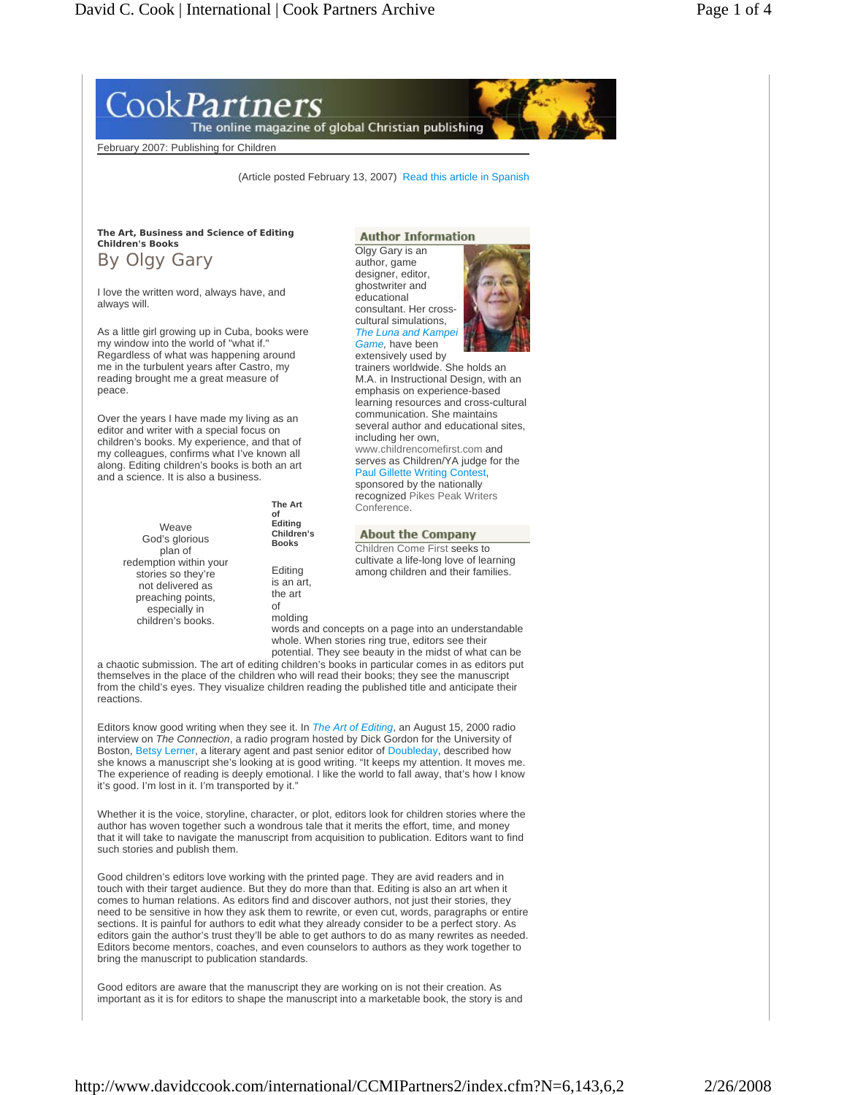# ook*Partners*

The online magazine of global Christian publishing

February 2007: Publishing for Children

(Article posted February 13, 2007) Read this article in Spanish

**The Art, Business and Science of Editing Children's Books** 

By Olgy Gary

I love the written word, always have, and always will.

As a little girl growing up in Cuba, books were my window into the world of "what if." Regardless of what was happening around me in the turbulent years after Castro, my reading brought me a great measure of peace.

Over the years I have made my living as an editor and writer with a special focus on children's books. My experience, and that of my colleagues, confirms what I've known all along. Editing children's books is both an art and a science. It is also a business.

| Weave<br>God's glorious<br>plan of | <b>The Art</b><br>Ωf<br>Editing<br>Children's<br><b>Books</b> |
|------------------------------------|---------------------------------------------------------------|
| redemption within your             | Editing                                                       |
| stories so they're                 | is an art,                                                    |
| not delivered as                   | the art                                                       |
| preaching points,                  | Ωf                                                            |
| especially in                      | molding                                                       |
| children's books.                  | . .                                                           |

## **Author Information**

Olgy Gary is an author, game designer, editor, ghostwriter and educational consultant. Her crosscultural simulations, **The Luna and Kampe** *Game,* have been

extensively used by trainers worldwide. She holds an M.A. in Instructional Design, with an emphasis on experience-based learning resources and cross-cultural communication. She maintains several author and educational sites, including her own, www.childrencomefirst.com and serves as Children/YA judge for the Paul Gillette Writing Contest,

sponsored by the nationally recognized Pikes Peak Writers Conference.

### **About the Company**

Children Come First seeks to cultivate a life-long love of learning among children and their families.

words and concepts on a page into an understandable whole. When stories ring true, editors see their potential. They see beauty in the midst of what can be

a chaotic submission. The art of editing children's books in particular comes in as editors put themselves in the place of the children who will read their books; they see the manuscript from the child's eyes. They visualize children reading the published title and anticipate their reactions.

Editors know good writing when they see it. In *The Art of Editing*, an August 15, 2000 radio interview on *The Connection*, a radio program hosted by Dick Gordon for the University of Boston, Betsy Lerner, a literary agent and past senior editor of Doubleday, described how she knows a manuscript she's looking at is good writing. "It keeps my attention. It moves me. The experience of reading is deeply emotional. I like the world to fall away, that's how I know it's good. I'm lost in it. I'm transported by it."

Whether it is the voice, storyline, character, or plot, editors look for children stories where the author has woven together such a wondrous tale that it merits the effort, time, and money that it will take to navigate the manuscript from acquisition to publication. Editors want to find such stories and publish them.

Good children's editors love working with the printed page. They are avid readers and in touch with their target audience. But they do more than that. Editing is also an art when it comes to human relations. As editors find and discover authors, not just their stories, they need to be sensitive in how they ask them to rewrite, or even cut, words, paragraphs or entire sections. It is painful for authors to edit what they already consider to be a perfect story. As editors gain the author's trust they'll be able to get authors to do as many rewrites as needed. Editors become mentors, coaches, and even counselors to authors as they work together to bring the manuscript to publication standards.

Good editors are aware that the manuscript they are working on is not their creation. As important as it is for editors to shape the manuscript into a marketable book, the story is and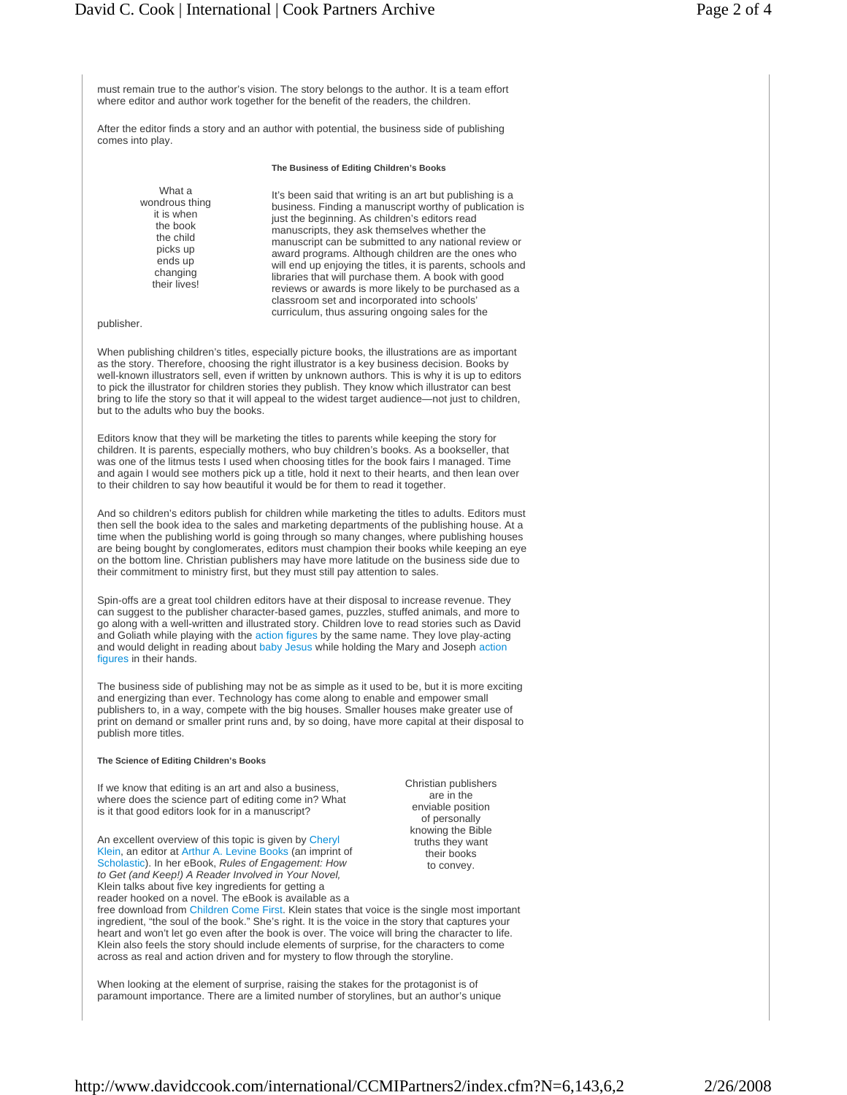must remain true to the author's vision. The story belongs to the author. It is a team effort where editor and author work together for the benefit of the readers, the children.

After the editor finds a story and an author with potential, the business side of publishing comes into play.

#### **The Business of Editing Children's Books**

What a wondrous thing it is when the book the child picks up ends up changing their lives!

It's been said that writing is an art but publishing is a business. Finding a manuscript worthy of publication is just the beginning. As children's editors read manuscripts, they ask themselves whether the manuscript can be submitted to any national review or award programs. Although children are the ones who will end up enjoying the titles, it is parents, schools and libraries that will purchase them. A book with good reviews or awards is more likely to be purchased as a classroom set and incorporated into schools' curriculum, thus assuring ongoing sales for the

publisher.

When publishing children's titles, especially picture books, the illustrations are as important as the story. Therefore, choosing the right illustrator is a key business decision. Books by well-known illustrators sell, even if written by unknown authors. This is why it is up to editors to pick the illustrator for children stories they publish. They know which illustrator can best bring to life the story so that it will appeal to the widest target audience—not just to children, but to the adults who buy the books.

Editors know that they will be marketing the titles to parents while keeping the story for children. It is parents, especially mothers, who buy children's books. As a bookseller, that was one of the litmus tests I used when choosing titles for the book fairs I managed. Time and again I would see mothers pick up a title, hold it next to their hearts, and then lean over to their children to say how beautiful it would be for them to read it together.

And so children's editors publish for children while marketing the titles to adults. Editors must then sell the book idea to the sales and marketing departments of the publishing house. At a time when the publishing world is going through so many changes, where publishing houses are being bought by conglomerates, editors must champion their books while keeping an eye on the bottom line. Christian publishers may have more latitude on the business side due to their commitment to ministry first, but they must still pay attention to sales.

Spin-offs are a great tool children editors have at their disposal to increase revenue. They can suggest to the publisher character-based games, puzzles, stuffed animals, and more to go along with a well-written and illustrated story. Children love to read stories such as David and Goliath while playing with the action figures by the same name. They love play-acting and would delight in reading about baby Jesus while holding the Mary and Joseph action figures in their hands.

The business side of publishing may not be as simple as it used to be, but it is more exciting and energizing than ever. Technology has come along to enable and empower small publishers to, in a way, compete with the big houses. Smaller houses make greater use of print on demand or smaller print runs and, by so doing, have more capital at their disposal to publish more titles.

#### **The Science of Editing Children's Books**

If we know that editing is an art and also a business, where does the science part of editing come in? What is it that good editors look for in a manuscript?

An excellent overview of this topic is given by Cheryl Klein, an editor at Arthur A. Levine Books (an imprint of Scholastic). In her eBook, *Rules of Engagement: How to Get (and Keep!) A Reader Involved in Your Novel,*  Klein talks about five key ingredients for getting a

Christian publishers are in the enviable position of personally knowing the Bible truths they want their books to convey.

reader hooked on a novel. The eBook is available as a free download from Children Come First. Klein states that voice is the single most important ingredient, "the soul of the book." She's right. It is the voice in the story that captures your heart and won't let go even after the book is over. The voice will bring the character to life. Klein also feels the story should include elements of surprise, for the characters to come across as real and action driven and for mystery to flow through the storyline.

When looking at the element of surprise, raising the stakes for the protagonist is of paramount importance. There are a limited number of storylines, but an author's unique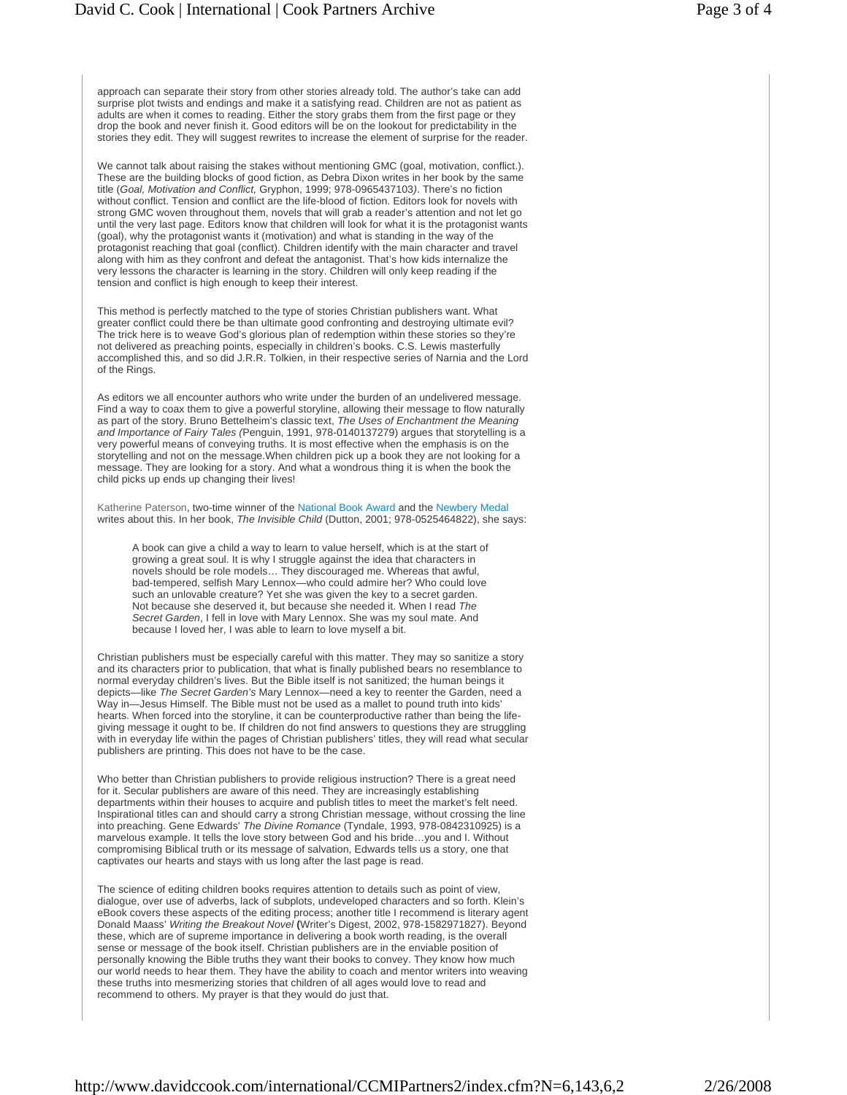approach can separate their story from other stories already told. The author's take can add surprise plot twists and endings and make it a satisfying read. Children are not as patient as adults are when it comes to reading. Either the story grabs them from the first page or they drop the book and never finish it. Good editors will be on the lookout for predictability in the stories they edit. They will suggest rewrites to increase the element of surprise for the reader.

We cannot talk about raising the stakes without mentioning GMC (goal, motivation, conflict.). These are the building blocks of good fiction, as Debra Dixon writes in her book by the same title (*Goal, Motivation and Conflict,* Gryphon, 1999; 978-0965437103*)*. There's no fiction without conflict. Tension and conflict are the life-blood of fiction. Editors look for novels with strong GMC woven throughout them, novels that will grab a reader's attention and not let go until the very last page. Editors know that children will look for what it is the protagonist wants (goal), why the protagonist wants it (motivation) and what is standing in the way of the protagonist reaching that goal (conflict). Children identify with the main character and travel along with him as they confront and defeat the antagonist. That's how kids internalize the very lessons the character is learning in the story. Children will only keep reading if the tension and conflict is high enough to keep their interest.

This method is perfectly matched to the type of stories Christian publishers want. What greater conflict could there be than ultimate good confronting and destroying ultimate evil? The trick here is to weave God's glorious plan of redemption within these stories so they're not delivered as preaching points, especially in children's books. C.S. Lewis masterfully accomplished this, and so did J.R.R. Tolkien, in their respective series of Narnia and the Lord of the Rings.

As editors we all encounter authors who write under the burden of an undelivered message. Find a way to coax them to give a powerful storyline, allowing their message to flow naturally as part of the story. Bruno Bettelheim's classic text, *The Uses of Enchantment the Meaning and Importance of Fairy Tales (*Penguin, 1991, 978-0140137279) argues that storytelling is a very powerful means of conveying truths. It is most effective when the emphasis is on the storytelling and not on the message.When children pick up a book they are not looking for a message. They are looking for a story. And what a wondrous thing it is when the book the child picks up ends up changing their lives!

Katherine Paterson, two-time winner of the National Book Award and the Newbery Medal writes about this. In her book, *The Invisible Child* (Dutton, 2001; 978-0525464822), she says:

A book can give a child a way to learn to value herself, which is at the start of growing a great soul. It is why I struggle against the idea that characters in novels should be role models… They discouraged me. Whereas that awful, bad-tempered, selfish Mary Lennox—who could admire her? Who could love such an unlovable creature? Yet she was given the key to a secret garden. Not because she deserved it, but because she needed it. When I read *The Secret Garden*, I fell in love with Mary Lennox. She was my soul mate. And because I loved her, I was able to learn to love myself a bit.

Christian publishers must be especially careful with this matter. They may so sanitize a story and its characters prior to publication, that what is finally published bears no resemblance to normal everyday children's lives. But the Bible itself is not sanitized; the human beings it depicts—like *The Secret Garden's* Mary Lennox—need a key to reenter the Garden, need a Way in—Jesus Himself. The Bible must not be used as a mallet to pound truth into kids' hearts. When forced into the storyline, it can be counterproductive rather than being the lifegiving message it ought to be. If children do not find answers to questions they are struggling with in everyday life within the pages of Christian publishers' titles, they will read what secular publishers are printing. This does not have to be the case.

Who better than Christian publishers to provide religious instruction? There is a great need for it. Secular publishers are aware of this need. They are increasingly establishing departments within their houses to acquire and publish titles to meet the market's felt need. Inspirational titles can and should carry a strong Christian message, without crossing the line into preaching. Gene Edwards' *The Divine Romance* (Tyndale, 1993, 978-0842310925) is a marvelous example. It tells the love story between God and his bride…you and I. Without compromising Biblical truth or its message of salvation, Edwards tells us a story, one that captivates our hearts and stays with us long after the last page is read.

The science of editing children books requires attention to details such as point of view, dialogue, over use of adverbs, lack of subplots, undeveloped characters and so forth. Klein's eBook covers these aspects of the editing process; another title I recommend is literary agent Donald Maass' *Writing the Breakout Novel* **(**Writer's Digest, 2002, 978-1582971827). Beyond these, which are of supreme importance in delivering a book worth reading, is the overall sense or message of the book itself. Christian publishers are in the enviable position of personally knowing the Bible truths they want their books to convey. They know how much our world needs to hear them. They have the ability to coach and mentor writers into weaving these truths into mesmerizing stories that children of all ages would love to read and recommend to others. My prayer is that they would do just that.